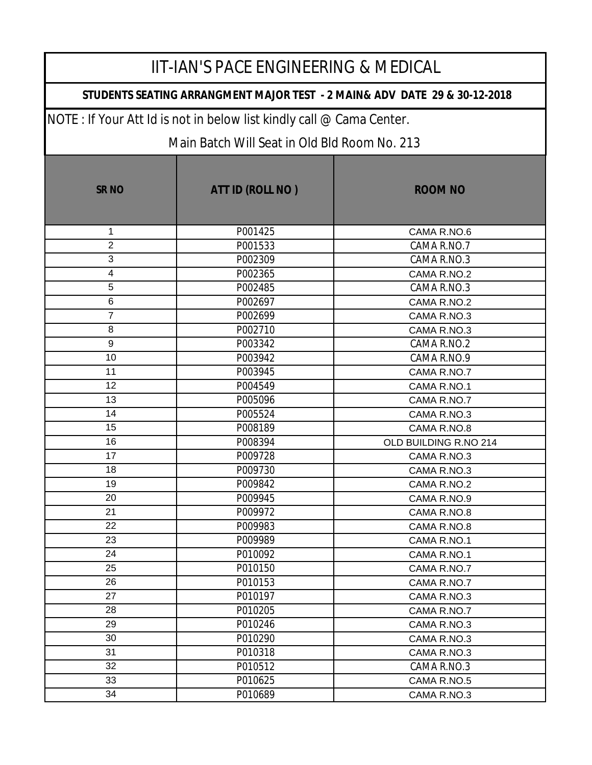#### **STUDENTS SEATING ARRANGMENT MAJOR TEST - 2 MAIN& ADV DATE 29 & 30-12-2018**

NOTE : If Your Att Id is not in below list kindly call @ Cama Center.

| <b>SR NO</b>            | ATT ID (ROLL NO) | <b>ROOM NO</b>        |
|-------------------------|------------------|-----------------------|
| 1                       | P001425          | CAMA R.NO.6           |
| $\overline{2}$          | P001533          | CAMA R.NO.7           |
| 3                       | P002309          | CAMA R.NO.3           |
| $\overline{\mathbf{4}}$ | P002365          | CAMA R.NO.2           |
| 5                       | P002485          | CAMA R.NO.3           |
| 6                       | P002697          | CAMA R.NO.2           |
| $\overline{7}$          | P002699          | CAMA R.NO.3           |
| 8                       | P002710          | CAMA R.NO.3           |
| 9                       | P003342          | CAMA R.NO.2           |
| 10                      | P003942          | CAMA R.NO.9           |
| 11                      | P003945          | CAMA R.NO.7           |
| 12                      | P004549          | CAMA R.NO.1           |
| 13                      | P005096          | CAMA R.NO.7           |
| 14                      | P005524          | CAMA R.NO.3           |
| 15                      | P008189          | CAMA R.NO.8           |
| 16                      | P008394          | OLD BUILDING R.NO 214 |
| 17                      | P009728          | CAMA R.NO.3           |
| 18                      | P009730          | CAMA R.NO.3           |
| 19                      | P009842          | CAMA R.NO.2           |
| 20                      | P009945          | CAMA R.NO.9           |
| 21                      | P009972          | CAMA R.NO.8           |
| 22                      | P009983          | CAMA R.NO.8           |
| 23                      | P009989          | CAMA R.NO.1           |
| 24                      | P010092          | CAMA R.NO.1           |
| 25                      | P010150          | CAMA R.NO.7           |
| 26                      | P010153          | CAMA R.NO.7           |
| 27                      | P010197          | CAMA R.NO.3           |
| 28                      | P010205          | CAMA R.NO.7           |
| 29                      | P010246          | CAMA R.NO.3           |
| 30                      | P010290          | CAMA R.NO.3           |
| 31                      | P010318          | CAMA R.NO.3           |
| 32                      | P010512          | CAMA R.NO.3           |
| 33                      | P010625          | CAMA R.NO.5           |
| 34                      | P010689          | CAMA R.NO.3           |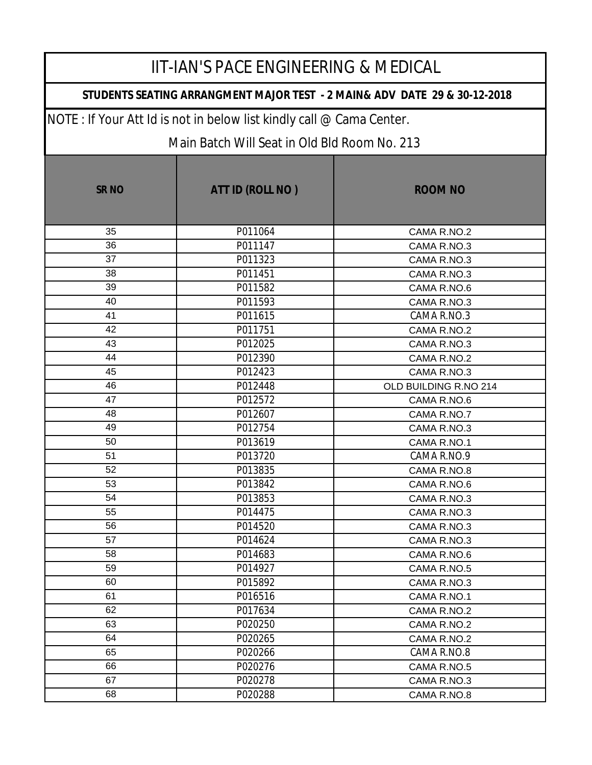### **STUDENTS SEATING ARRANGMENT MAJOR TEST - 2 MAIN& ADV DATE 29 & 30-12-2018**

NOTE : If Your Att Id is not in below list kindly call @ Cama Center.

| <b>SR NO</b> | ATT ID (ROLL NO) | <b>ROOM NO</b>        |
|--------------|------------------|-----------------------|
| 35           | P011064          | CAMA R.NO.2           |
| 36           | P011147          | CAMA R.NO.3           |
| 37           | P011323          | CAMA R.NO.3           |
| 38           | P011451          | CAMA R.NO.3           |
| 39           | P011582          | CAMA R.NO.6           |
| 40           | P011593          | CAMA R.NO.3           |
| 41           | P011615          | CAMA R.NO.3           |
| 42           | P011751          | CAMA R.NO.2           |
| 43           | P012025          | CAMA R.NO.3           |
| 44           | P012390          | CAMA R.NO.2           |
| 45           | P012423          | CAMA R.NO.3           |
| 46           | P012448          | OLD BUILDING R.NO 214 |
| 47           | P012572          | CAMA R.NO.6           |
| 48           | P012607          | CAMA R.NO.7           |
| 49           | P012754          | CAMA R.NO.3           |
| 50           | P013619          | CAMA R.NO.1           |
| 51           | P013720          | CAMA R.NO.9           |
| 52           | P013835          | CAMA R.NO.8           |
| 53           | P013842          | CAMA R.NO.6           |
| 54           | P013853          | CAMA R.NO.3           |
| 55           | P014475          | CAMA R.NO.3           |
| 56           | P014520          | CAMA R.NO.3           |
| 57           | P014624          | CAMA R.NO.3           |
| 58           | P014683          | CAMA R.NO.6           |
| 59           | P014927          | CAMA R.NO.5           |
| 60           | P015892          | CAMA R.NO.3           |
| 61           | P016516          | CAMA R.NO.1           |
| 62           | P017634          | CAMA R.NO.2           |
| 63           | P020250          | CAMA R.NO.2           |
| 64           | P020265          | CAMA R.NO.2           |
| 65           | P020266          | CAMA R.NO.8           |
| 66           | P020276          | CAMA R.NO.5           |
| 67           | P020278          | CAMA R.NO.3           |
| 68           | P020288          | CAMA R.NO.8           |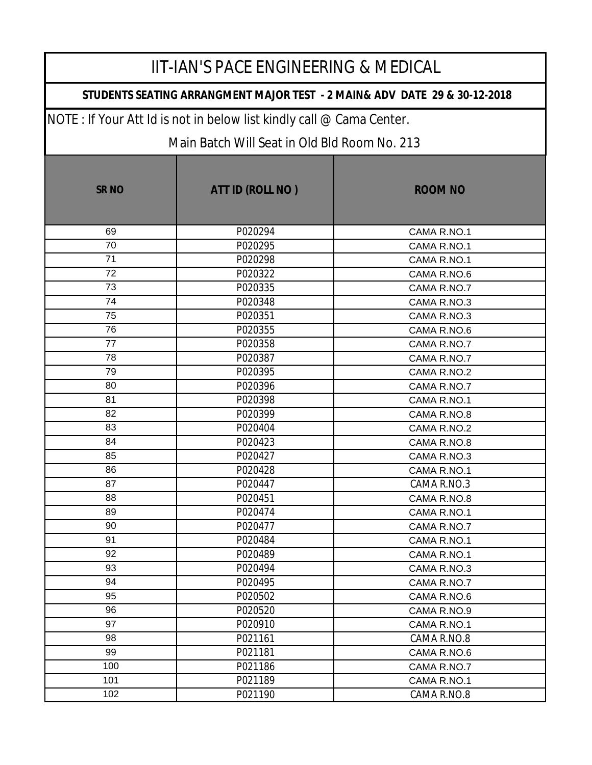### **STUDENTS SEATING ARRANGMENT MAJOR TEST - 2 MAIN& ADV DATE 29 & 30-12-2018**

NOTE : If Your Att Id is not in below list kindly call @ Cama Center.

| <b>SR NO</b> | ATT ID (ROLL NO) | <b>ROOM NO</b> |
|--------------|------------------|----------------|
| 69           | P020294          | CAMA R.NO.1    |
| 70           | P020295          | CAMA R.NO.1    |
| 71           | P020298          | CAMA R.NO.1    |
| 72           | P020322          | CAMA R.NO.6    |
| 73           | P020335          | CAMA R.NO.7    |
| 74           | P020348          | CAMA R.NO.3    |
| 75           | P020351          | CAMA R.NO.3    |
| 76           | P020355          | CAMA R.NO.6    |
| 77           | P020358          | CAMA R.NO.7    |
| 78           | P020387          | CAMA R.NO.7    |
| 79           | P020395          | CAMA R.NO.2    |
| 80           | P020396          | CAMA R.NO.7    |
| 81           | P020398          | CAMA R.NO.1    |
| 82           | P020399          | CAMA R.NO.8    |
| 83           | P020404          | CAMA R.NO.2    |
| 84           | P020423          | CAMA R.NO.8    |
| 85           | P020427          | CAMA R.NO.3    |
| 86           | P020428          | CAMA R.NO.1    |
| 87           | P020447          | CAMA R.NO.3    |
| 88           | P020451          | CAMA R.NO.8    |
| 89           | P020474          | CAMA R.NO.1    |
| 90           | P020477          | CAMA R.NO.7    |
| 91           | P020484          | CAMA R.NO.1    |
| 92           | P020489          | CAMA R.NO.1    |
| 93           | P020494          | CAMA R.NO.3    |
| 94           | P020495          | CAMA R.NO.7    |
| 95           | P020502          | CAMA R.NO.6    |
| 96           | P020520          | CAMA R.NO.9    |
| 97           | P020910          | CAMA R.NO.1    |
| 98           | P021161          | CAMA R.NO.8    |
| 99           | P021181          | CAMA R.NO.6    |
| 100          | P021186          | CAMA R.NO.7    |
| 101          | P021189          | CAMA R.NO.1    |
| 102          | P021190          | CAMA R.NO.8    |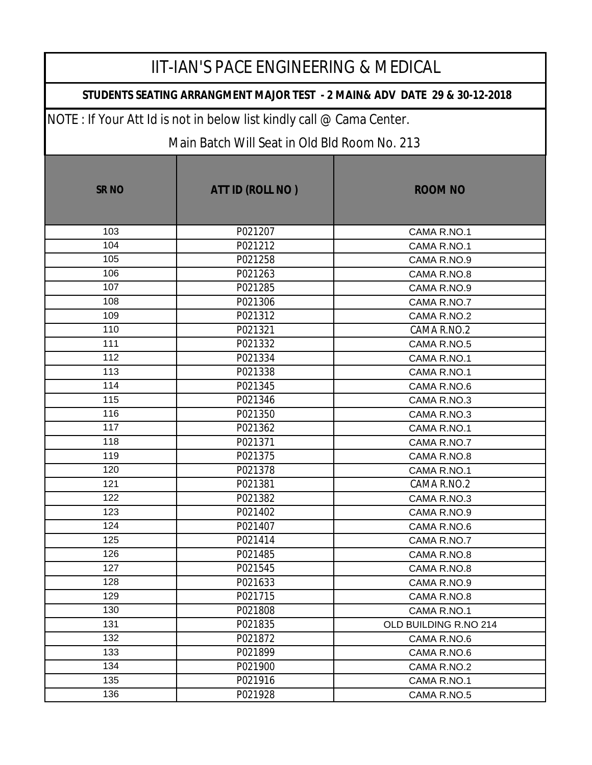### **STUDENTS SEATING ARRANGMENT MAJOR TEST - 2 MAIN& ADV DATE 29 & 30-12-2018**

NOTE : If Your Att Id is not in below list kindly call @ Cama Center.

| <b>SRNO</b> | ATT ID (ROLL NO) | <b>ROOM NO</b>        |
|-------------|------------------|-----------------------|
| 103         | P021207          | CAMA R.NO.1           |
| 104         | P021212          | CAMA R.NO.1           |
| 105         | P021258          | CAMA R.NO.9           |
| 106         | P021263          | CAMA R.NO.8           |
| 107         | P021285          | CAMA R.NO.9           |
| 108         | P021306          | CAMA R.NO.7           |
| 109         | P021312          | CAMA R.NO.2           |
| 110         | P021321          | CAMA R.NO.2           |
| 111         | P021332          | CAMA R.NO.5           |
| 112         | P021334          | CAMA R.NO.1           |
| 113         | P021338          | CAMA R.NO.1           |
| 114         | P021345          | CAMA R.NO.6           |
| 115         | P021346          | CAMA R.NO.3           |
| 116         | P021350          | CAMA R.NO.3           |
| 117         | P021362          | CAMA R.NO.1           |
| 118         | P021371          | CAMA R.NO.7           |
| 119         | P021375          | CAMA R.NO.8           |
| 120         | P021378          | CAMA R.NO.1           |
| 121         | P021381          | CAMA R.NO.2           |
| 122         | P021382          | CAMA R.NO.3           |
| 123         | P021402          | CAMA R.NO.9           |
| 124         | P021407          | CAMA R.NO.6           |
| 125         | P021414          | CAMA R.NO.7           |
| 126         | P021485          | CAMA R.NO.8           |
| 127         | P021545          | CAMA R.NO.8           |
| 128         | P021633          | CAMA R.NO.9           |
| 129         | P021715          | CAMA R.NO.8           |
| 130         | P021808          | CAMA R.NO.1           |
| 131         | P021835          | OLD BUILDING R.NO 214 |
| 132         | P021872          | CAMA R.NO.6           |
| 133         | P021899          | CAMA R.NO.6           |
| 134         | P021900          | CAMA R.NO.2           |
| 135         | P021916          | CAMA R.NO.1           |
| 136         | P021928          | CAMA R.NO.5           |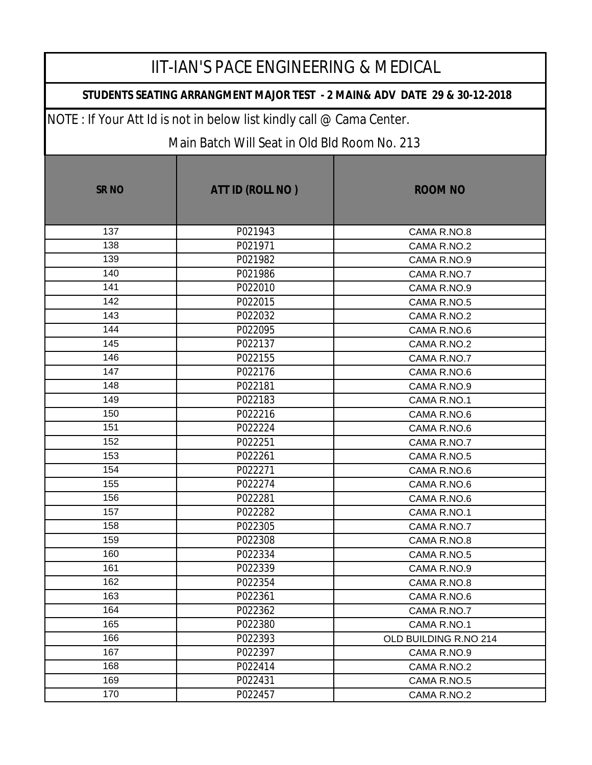### **STUDENTS SEATING ARRANGMENT MAJOR TEST - 2 MAIN& ADV DATE 29 & 30-12-2018**

NOTE : If Your Att Id is not in below list kindly call @ Cama Center.

| <b>SR NO</b> | ATT ID (ROLL NO) | <b>ROOM NO</b>        |
|--------------|------------------|-----------------------|
| 137          | P021943          | CAMA R.NO.8           |
| 138          | P021971          | CAMA R.NO.2           |
| 139          | P021982          | CAMA R.NO.9           |
| 140          | P021986          | CAMA R.NO.7           |
| 141          | P022010          | CAMA R.NO.9           |
| 142          | P022015          | CAMA R.NO.5           |
| 143          | P022032          | CAMA R.NO.2           |
| 144          | P022095          | CAMA R.NO.6           |
| 145          | P022137          | CAMA R.NO.2           |
| 146          | P022155          | CAMA R.NO.7           |
| 147          | P022176          | CAMA R.NO.6           |
| 148          | P022181          | CAMA R.NO.9           |
| 149          | P022183          | CAMA R.NO.1           |
| 150          | P022216          | CAMA R.NO.6           |
| 151          | P022224          | CAMA R.NO.6           |
| 152          | P022251          | CAMA R.NO.7           |
| 153          | P022261          | CAMA R.NO.5           |
| 154          | P022271          | CAMA R.NO.6           |
| 155          | P022274          | CAMA R.NO.6           |
| 156          | P022281          | CAMA R.NO.6           |
| 157          | P022282          | CAMA R.NO.1           |
| 158          | P022305          | CAMA R.NO.7           |
| 159          | P022308          | CAMA R.NO.8           |
| 160          | P022334          | CAMA R.NO.5           |
| 161          | P022339          | CAMA R.NO.9           |
| 162          | P022354          | CAMA R.NO.8           |
| 163          | P022361          | CAMA R.NO.6           |
| 164          | P022362          | CAMA R.NO.7           |
| 165          | P022380          | CAMA R.NO.1           |
| 166          | P022393          | OLD BUILDING R.NO 214 |
| 167          | P022397          | CAMA R.NO.9           |
| 168          | P022414          | CAMA R.NO.2           |
| 169          | P022431          | CAMA R.NO.5           |
| 170          | P022457          | CAMA R.NO.2           |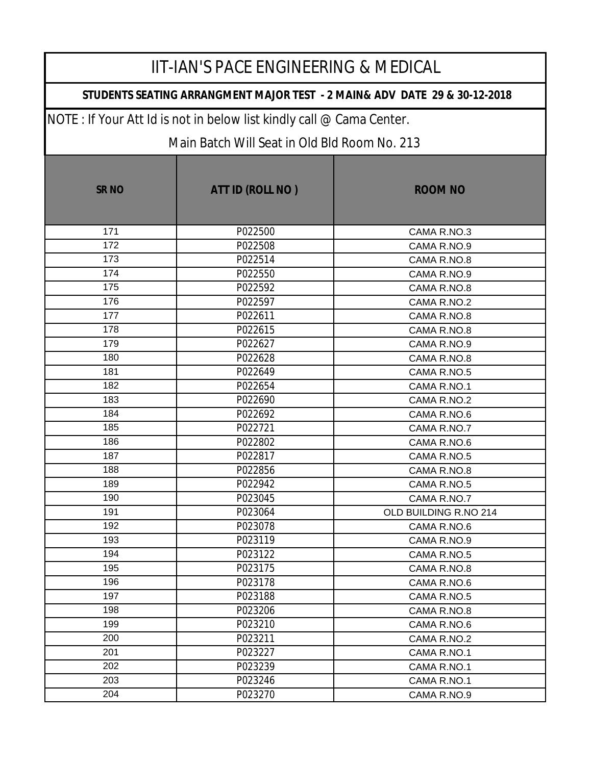#### **STUDENTS SEATING ARRANGMENT MAJOR TEST - 2 MAIN& ADV DATE 29 & 30-12-2018**

NOTE : If Your Att Id is not in below list kindly call @ Cama Center.

| <b>SRNO</b> | ATT ID (ROLL NO) | <b>ROOM NO</b>        |
|-------------|------------------|-----------------------|
| 171         | P022500          | CAMA R.NO.3           |
| 172         | P022508          | CAMA R.NO.9           |
| 173         | P022514          | CAMA R.NO.8           |
| 174         | P022550          | CAMA R.NO.9           |
| 175         | P022592          | CAMA R.NO.8           |
| 176         | P022597          | CAMA R.NO.2           |
| 177         | P022611          | CAMA R.NO.8           |
| 178         | P022615          | CAMA R.NO.8           |
| 179         | P022627          | CAMA R.NO.9           |
| 180         | P022628          | CAMA R.NO.8           |
| 181         | P022649          | CAMA R.NO.5           |
| 182         | P022654          | CAMA R.NO.1           |
| 183         | P022690          | CAMA R.NO.2           |
| 184         | P022692          | CAMA R.NO.6           |
| 185         | P022721          | CAMA R.NO.7           |
| 186         | P022802          | CAMA R.NO.6           |
| 187         | P022817          | CAMA R.NO.5           |
| 188         | P022856          | CAMA R.NO.8           |
| 189         | P022942          | CAMA R.NO.5           |
| 190         | P023045          | CAMA R.NO.7           |
| 191         | P023064          | OLD BUILDING R.NO 214 |
| 192         | P023078          | CAMA R.NO.6           |
| 193         | P023119          | CAMA R.NO.9           |
| 194         | P023122          | CAMA R.NO.5           |
| 195         | P023175          | CAMA R.NO.8           |
| 196         | P023178          | CAMA R.NO.6           |
| 197         | P023188          | CAMA R.NO.5           |
| 198         | P023206          | CAMA R.NO.8           |
| 199         | P023210          | CAMA R.NO.6           |
| 200         | P023211          | CAMA R.NO.2           |
| 201         | P023227          | CAMA R.NO.1           |
| 202         | P023239          | CAMA R.NO.1           |
| 203         | P023246          | CAMA R.NO.1           |
| 204         | P023270          | CAMA R.NO.9           |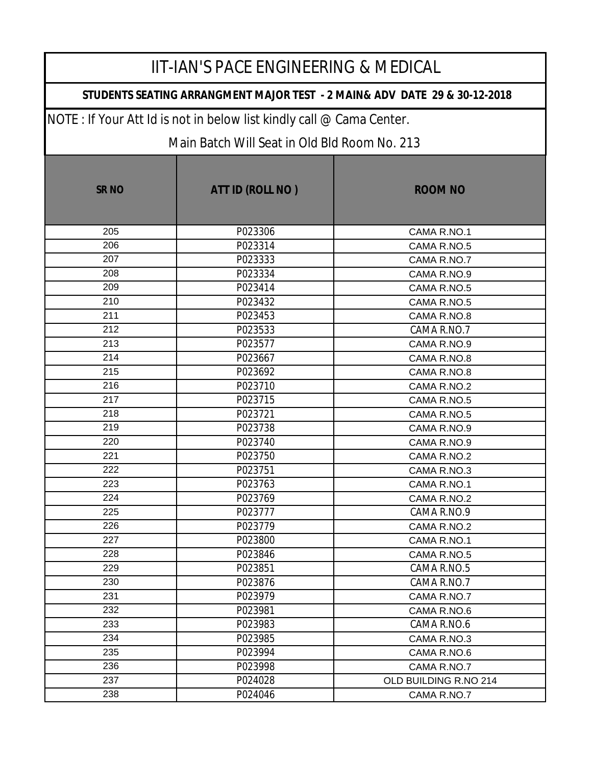### **STUDENTS SEATING ARRANGMENT MAJOR TEST - 2 MAIN& ADV DATE 29 & 30-12-2018**

NOTE : If Your Att Id is not in below list kindly call @ Cama Center.

| <b>SRNO</b> | ATT ID (ROLL NO) | <b>ROOM NO</b>        |
|-------------|------------------|-----------------------|
| 205         | P023306          | CAMA R.NO.1           |
| 206         | P023314          | CAMA R.NO.5           |
| 207         | P023333          | CAMA R.NO.7           |
| 208         | P023334          | CAMA R.NO.9           |
| 209         | P023414          | CAMA R.NO.5           |
| 210         | P023432          | CAMA R.NO.5           |
| 211         | P023453          | CAMA R.NO.8           |
| 212         | P023533          | CAMA R.NO.7           |
| 213         | P023577          | CAMA R.NO.9           |
| 214         | P023667          | CAMA R.NO.8           |
| 215         | P023692          | CAMA R.NO.8           |
| 216         | P023710          | CAMA R.NO.2           |
| 217         | P023715          | CAMA R.NO.5           |
| 218         | P023721          | CAMA R.NO.5           |
| 219         | P023738          | CAMA R.NO.9           |
| 220         | P023740          | CAMA R.NO.9           |
| 221         | P023750          | CAMA R.NO.2           |
| 222         | P023751          | CAMA R.NO.3           |
| 223         | P023763          | CAMA R.NO.1           |
| 224         | P023769          | CAMA R.NO.2           |
| 225         | P023777          | CAMA R.NO.9           |
| 226         | P023779          | CAMA R.NO.2           |
| 227         | P023800          | CAMA R.NO.1           |
| 228         | P023846          | CAMA R.NO.5           |
| 229         | P023851          | CAMA R.NO.5           |
| 230         | P023876          | CAMA R.NO.7           |
| 231         | P023979          | CAMA R.NO.7           |
| 232         | P023981          | CAMA R.NO.6           |
| 233         | P023983          | CAMA R.NO.6           |
| 234         | P023985          | CAMA R.NO.3           |
| 235         | P023994          | CAMA R.NO.6           |
| 236         | P023998          | CAMA R.NO.7           |
| 237         | P024028          | OLD BUILDING R.NO 214 |
| 238         | P024046          | CAMA R.NO.7           |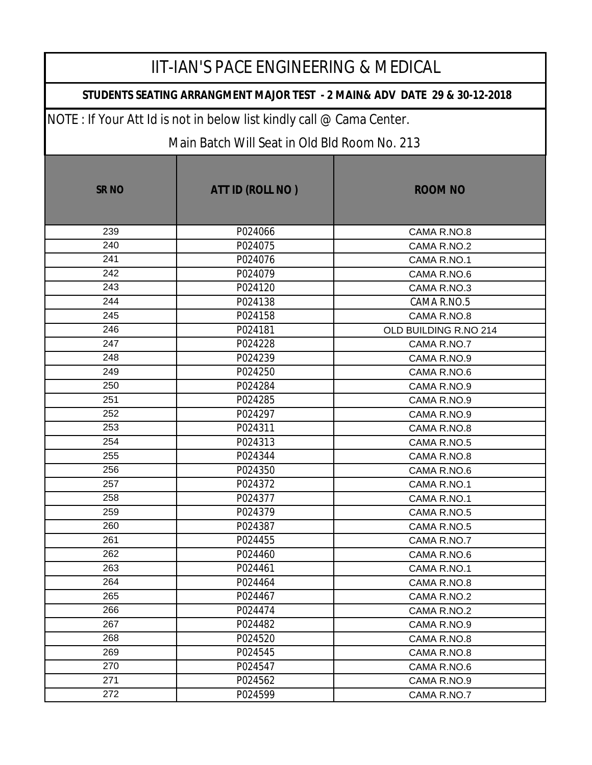### **STUDENTS SEATING ARRANGMENT MAJOR TEST - 2 MAIN& ADV DATE 29 & 30-12-2018**

NOTE : If Your Att Id is not in below list kindly call @ Cama Center.

| <b>SRNO</b> | ATT ID (ROLL NO) | <b>ROOM NO</b>        |
|-------------|------------------|-----------------------|
| 239         | P024066          | CAMA R.NO.8           |
| 240         | P024075          | CAMA R.NO.2           |
| 241         | P024076          | CAMA R.NO.1           |
| 242         | P024079          | CAMA R.NO.6           |
| 243         | P024120          | CAMA R.NO.3           |
| 244         | P024138          | CAMA R.NO.5           |
| 245         | P024158          | CAMA R.NO.8           |
| 246         | P024181          | OLD BUILDING R.NO 214 |
| 247         | P024228          | CAMA R.NO.7           |
| 248         | P024239          | CAMA R.NO.9           |
| 249         | P024250          | CAMA R.NO.6           |
| 250         | P024284          | CAMA R.NO.9           |
| 251         | P024285          | CAMA R.NO.9           |
| 252         | P024297          | CAMA R.NO.9           |
| 253         | P024311          | CAMA R.NO.8           |
| 254         | P024313          | CAMA R.NO.5           |
| 255         | P024344          | CAMA R.NO.8           |
| 256         | P024350          | CAMA R.NO.6           |
| 257         | P024372          | CAMA R.NO.1           |
| 258         | P024377          | CAMA R.NO.1           |
| 259         | P024379          | CAMA R.NO.5           |
| 260         | P024387          | CAMA R.NO.5           |
| 261         | P024455          | CAMA R.NO.7           |
| 262         | P024460          | CAMA R.NO.6           |
| 263         | P024461          | CAMA R.NO.1           |
| 264         | P024464          | CAMA R.NO.8           |
| 265         | P024467          | CAMA R.NO.2           |
| 266         | P024474          | CAMA R.NO.2           |
| 267         | P024482          | CAMA R.NO.9           |
| 268         | P024520          | CAMA R.NO.8           |
| 269         | P024545          | CAMA R.NO.8           |
| 270         | P024547          | CAMA R.NO.6           |
| 271         | P024562          | CAMA R.NO.9           |
| 272         | P024599          | CAMA R.NO.7           |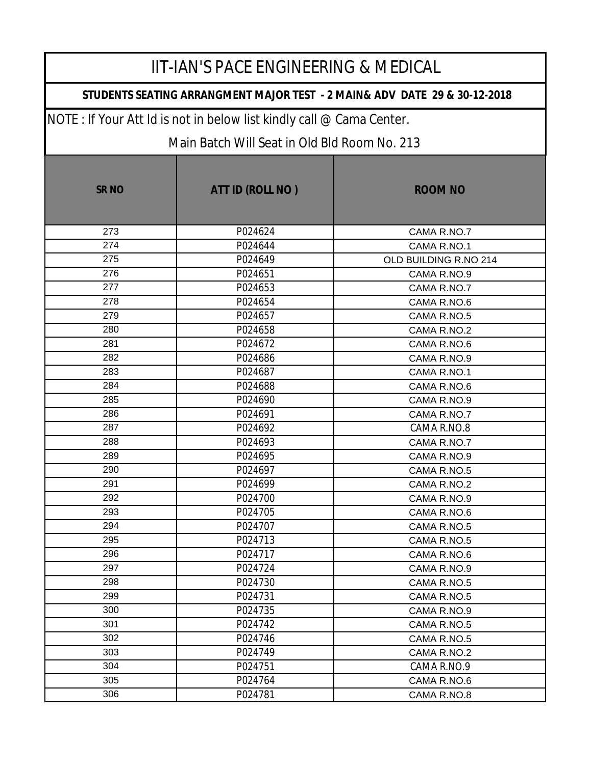#### **STUDENTS SEATING ARRANGMENT MAJOR TEST - 2 MAIN& ADV DATE 29 & 30-12-2018**

NOTE : If Your Att Id is not in below list kindly call @ Cama Center.

| <b>SRNO</b> | ATT ID (ROLL NO) | <b>ROOM NO</b>        |
|-------------|------------------|-----------------------|
| 273         | P024624          | CAMA R.NO.7           |
| 274         | P024644          | CAMA R.NO.1           |
| 275         | P024649          | OLD BUILDING R.NO 214 |
| 276         | P024651          | CAMA R.NO.9           |
| 277         | P024653          | CAMA R.NO.7           |
| 278         | P024654          | CAMA R.NO.6           |
| 279         | P024657          | CAMA R.NO.5           |
| 280         | P024658          | CAMA R.NO.2           |
| 281         | P024672          | CAMA R.NO.6           |
| 282         | P024686          | CAMA R.NO.9           |
| 283         | P024687          | CAMA R.NO.1           |
| 284         | P024688          | CAMA R.NO.6           |
| 285         | P024690          | CAMA R.NO.9           |
| 286         | P024691          | CAMA R.NO.7           |
| 287         | P024692          | CAMA R.NO.8           |
| 288         | P024693          | CAMA R.NO.7           |
| 289         | P024695          | CAMA R.NO.9           |
| 290         | P024697          | CAMA R.NO.5           |
| 291         | P024699          | CAMA R.NO.2           |
| 292         | P024700          | CAMA R.NO.9           |
| 293         | P024705          | CAMA R.NO.6           |
| 294         | P024707          | CAMA R.NO.5           |
| 295         | P024713          | CAMA R.NO.5           |
| 296         | P024717          | CAMA R.NO.6           |
| 297         | P024724          | CAMA R.NO.9           |
| 298         | P024730          | CAMA R.NO.5           |
| 299         | P024731          | CAMA R.NO.5           |
| 300         | P024735          | CAMA R.NO.9           |
| 301         | P024742          | CAMA R.NO.5           |
| 302         | P024746          | CAMA R.NO.5           |
| 303         | P024749          | CAMA R.NO.2           |
| 304         | P024751          | CAMA R.NO.9           |
| 305         | P024764          | CAMA R.NO.6           |
| 306         | P024781          | CAMA R.NO.8           |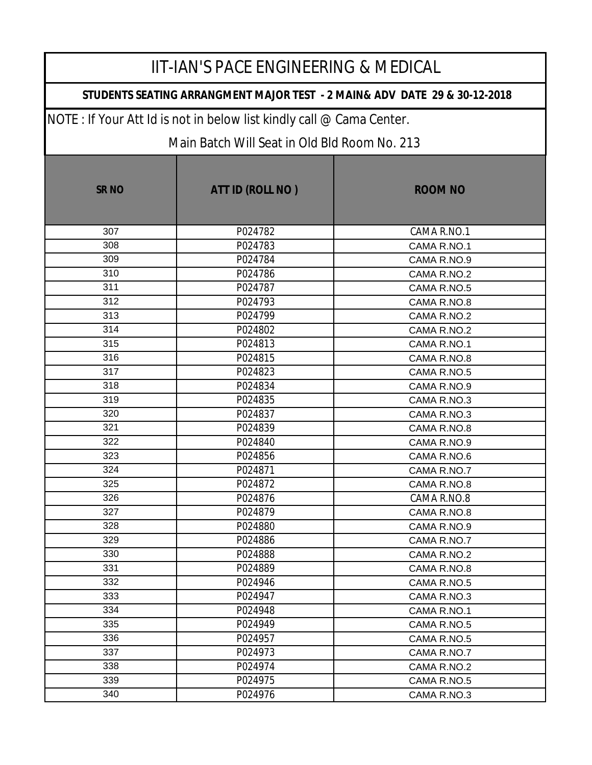### **STUDENTS SEATING ARRANGMENT MAJOR TEST - 2 MAIN& ADV DATE 29 & 30-12-2018**

NOTE : If Your Att Id is not in below list kindly call @ Cama Center.

| <b>SRNO</b> | ATT ID (ROLL NO) | <b>ROOM NO</b> |
|-------------|------------------|----------------|
| 307         | P024782          | CAMA R.NO.1    |
| 308         | P024783          | CAMA R.NO.1    |
| 309         | P024784          | CAMA R.NO.9    |
| 310         | P024786          | CAMA R.NO.2    |
| 311         | P024787          | CAMA R.NO.5    |
| 312         | P024793          | CAMA R.NO.8    |
| 313         | P024799          | CAMA R.NO.2    |
| 314         | P024802          | CAMA R.NO.2    |
| 315         | P024813          | CAMA R.NO.1    |
| 316         | P024815          | CAMA R.NO.8    |
| 317         | P024823          | CAMA R.NO.5    |
| 318         | P024834          | CAMA R.NO.9    |
| 319         | P024835          | CAMA R.NO.3    |
| 320         | P024837          | CAMA R.NO.3    |
| 321         | P024839          | CAMA R.NO.8    |
| 322         | P024840          | CAMA R.NO.9    |
| 323         | P024856          | CAMA R.NO.6    |
| 324         | P024871          | CAMA R.NO.7    |
| 325         | P024872          | CAMA R.NO.8    |
| 326         | P024876          | CAMA R.NO.8    |
| 327         | P024879          | CAMA R.NO.8    |
| 328         | P024880          | CAMA R.NO.9    |
| 329         | P024886          | CAMA R.NO.7    |
| 330         | P024888          | CAMA R.NO.2    |
| 331         | P024889          | CAMA R.NO.8    |
| 332         | P024946          | CAMA R.NO.5    |
| 333         | P024947          | CAMA R.NO.3    |
| 334         | P024948          | CAMA R.NO.1    |
| 335         | P024949          | CAMA R.NO.5    |
| 336         | P024957          | CAMA R.NO.5    |
| 337         | P024973          | CAMA R.NO.7    |
| 338         | P024974          | CAMA R.NO.2    |
| 339         | P024975          | CAMA R.NO.5    |
| 340         | P024976          | CAMA R.NO.3    |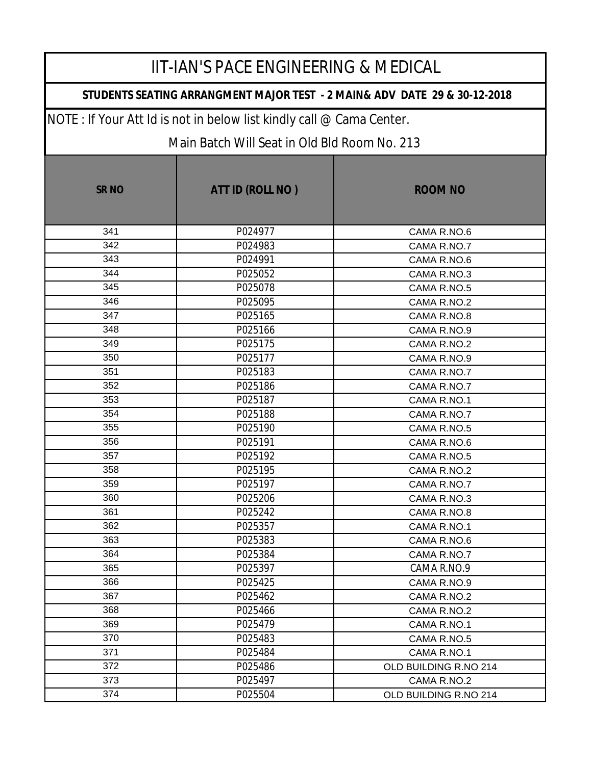### **STUDENTS SEATING ARRANGMENT MAJOR TEST - 2 MAIN& ADV DATE 29 & 30-12-2018**

NOTE : If Your Att Id is not in below list kindly call @ Cama Center.

| <b>SRNO</b> | ATT ID (ROLL NO) | <b>ROOM NO</b>        |
|-------------|------------------|-----------------------|
| 341         | P024977          | CAMA R.NO.6           |
| 342         | P024983          | CAMA R.NO.7           |
| 343         | P024991          | CAMA R.NO.6           |
| 344         | P025052          | CAMA R.NO.3           |
| 345         | P025078          | CAMA R.NO.5           |
| 346         | P025095          | CAMA R.NO.2           |
| 347         | P025165          | CAMA R.NO.8           |
| 348         | P025166          | CAMA R.NO.9           |
| 349         | P025175          | CAMA R.NO.2           |
| 350         | P025177          | CAMA R.NO.9           |
| 351         | P025183          | CAMA R.NO.7           |
| 352         | P025186          | CAMA R.NO.7           |
| 353         | P025187          | CAMA R.NO.1           |
| 354         | P025188          | CAMA R.NO.7           |
| 355         | P025190          | CAMA R.NO.5           |
| 356         | P025191          | CAMA R.NO.6           |
| 357         | P025192          | CAMA R.NO.5           |
| 358         | P025195          | CAMA R.NO.2           |
| 359         | P025197          | CAMA R.NO.7           |
| 360         | P025206          | CAMA R.NO.3           |
| 361         | P025242          | CAMA R.NO.8           |
| 362         | P025357          | CAMA R.NO.1           |
| 363         | P025383          | CAMA R.NO.6           |
| 364         | P025384          | CAMA R.NO.7           |
| 365         | P025397          | CAMA R.NO.9           |
| 366         | P025425          | CAMA R.NO.9           |
| 367         | P025462          | CAMA R.NO.2           |
| 368         | P025466          | CAMA R.NO.2           |
| 369         | P025479          | CAMA R.NO.1           |
| 370         | P025483          | CAMA R.NO.5           |
| 371         | P025484          | CAMA R.NO.1           |
| 372         | P025486          | OLD BUILDING R.NO 214 |
| 373         | P025497          | CAMA R.NO.2           |
| 374         | P025504          | OLD BUILDING R.NO 214 |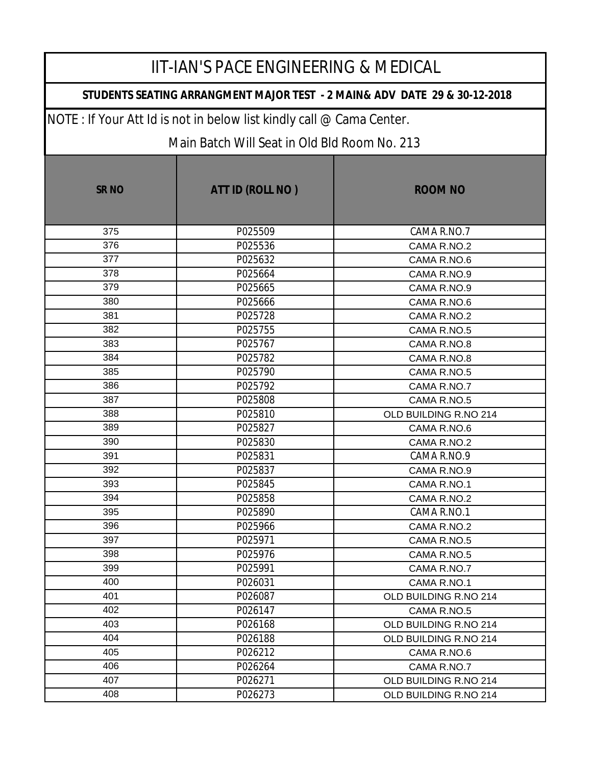### **STUDENTS SEATING ARRANGMENT MAJOR TEST - 2 MAIN& ADV DATE 29 & 30-12-2018**

NOTE : If Your Att Id is not in below list kindly call @ Cama Center.

| <b>SRNO</b> | ATT ID (ROLL NO) | <b>ROOM NO</b>        |
|-------------|------------------|-----------------------|
| 375         | P025509          | CAMA R.NO.7           |
| 376         | P025536          | CAMA R.NO.2           |
| 377         | P025632          | CAMA R.NO.6           |
| 378         | P025664          | CAMA R.NO.9           |
| 379         | P025665          | CAMA R.NO.9           |
| 380         | P025666          | CAMA R.NO.6           |
| 381         | P025728          | CAMA R.NO.2           |
| 382         | P025755          | CAMA R.NO.5           |
| 383         | P025767          | CAMA R.NO.8           |
| 384         | P025782          | CAMA R.NO.8           |
| 385         | P025790          | CAMA R.NO.5           |
| 386         | P025792          | CAMA R.NO.7           |
| 387         | P025808          | CAMA R.NO.5           |
| 388         | P025810          | OLD BUILDING R.NO 214 |
| 389         | P025827          | CAMA R.NO.6           |
| 390         | P025830          | CAMA R.NO.2           |
| 391         | P025831          | CAMA R.NO.9           |
| 392         | P025837          | CAMA R.NO.9           |
| 393         | P025845          | CAMA R.NO.1           |
| 394         | P025858          | CAMA R.NO.2           |
| 395         | P025890          | CAMA R.NO.1           |
| 396         | P025966          | CAMA R.NO.2           |
| 397         | P025971          | CAMA R.NO.5           |
| 398         | P025976          | CAMA R.NO.5           |
| 399         | P025991          | CAMA R.NO.7           |
| 400         | P026031          | CAMA R.NO.1           |
| 401         | P026087          | OLD BUILDING R.NO 214 |
| 402         | P026147          | CAMA R.NO.5           |
| 403         | P026168          | OLD BUILDING R.NO 214 |
| 404         | P026188          | OLD BUILDING R.NO 214 |
| 405         | P026212          | CAMA R.NO.6           |
| 406         | P026264          | CAMA R.NO.7           |
| 407         | P026271          | OLD BUILDING R.NO 214 |
| 408         | P026273          | OLD BUILDING R.NO 214 |